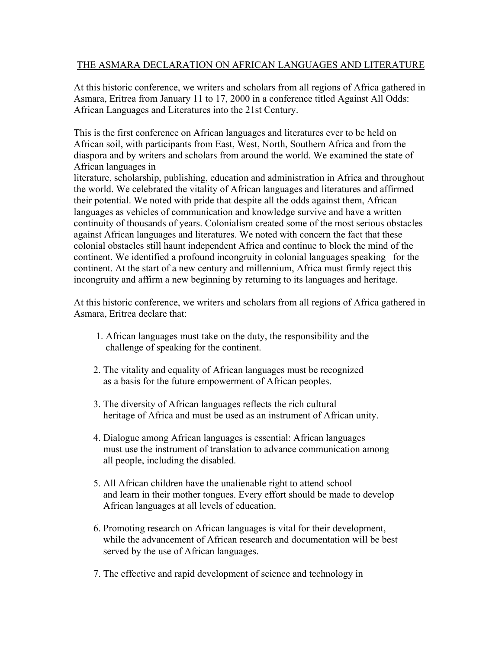## THE ASMARA DECLARATION ON AFRICAN LANGUAGES AND LITERATURE

At this historic conference, we writers and scholars from all regions of Africa gathered in Asmara, Eritrea from January 11 to 17, 2000 in a conference titled Against All Odds: African Languages and Literatures into the 21st Century.

This is the first conference on African languages and literatures ever to be held on African soil, with participants from East, West, North, Southern Africa and from the diaspora and by writers and scholars from around the world. We examined the state of African languages in

literature, scholarship, publishing, education and administration in Africa and throughout the world. We celebrated the vitality of African languages and literatures and affirmed their potential. We noted with pride that despite all the odds against them, African languages as vehicles of communication and knowledge survive and have a written continuity of thousands of years. Colonialism created some of the most serious obstacles against African languages and literatures. We noted with concern the fact that these colonial obstacles still haunt independent Africa and continue to block the mind of the continent. We identified a profound incongruity in colonial languages speaking for the continent. At the start of a new century and millennium, Africa must firmly reject this incongruity and affirm a new beginning by returning to its languages and heritage.

At this historic conference, we writers and scholars from all regions of Africa gathered in Asmara, Eritrea declare that:

- 1. African languages must take on the duty, the responsibility and the challenge of speaking for the continent.
- 2. The vitality and equality of African languages must be recognized as a basis for the future empowerment of African peoples.
- 3. The diversity of African languages reflects the rich cultural heritage of Africa and must be used as an instrument of African unity.
- 4. Dialogue among African languages is essential: African languages must use the instrument of translation to advance communication among all people, including the disabled.
- 5. All African children have the unalienable right to attend school and learn in their mother tongues. Every effort should be made to develop African languages at all levels of education.
- 6. Promoting research on African languages is vital for their development, while the advancement of African research and documentation will be best served by the use of African languages.
- 7. The effective and rapid development of science and technology in